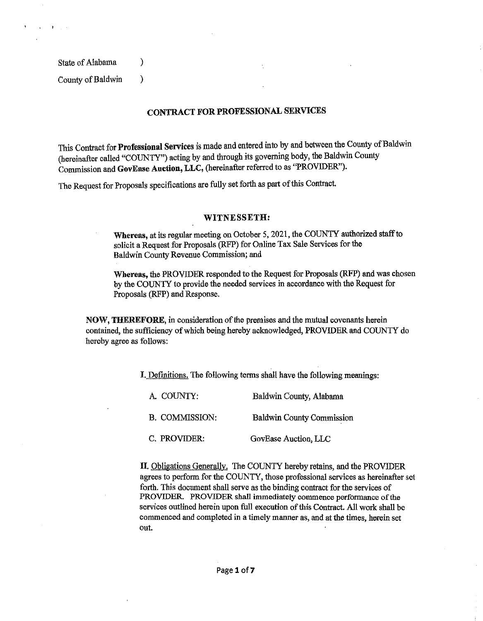State of Alabama (1)

 $\mathcal{A}=\{1,2,3\}$ 

County of Baldwin )

## CONTRACT FOR PROFESSIONAL SERVICES

This Contract for Professional Services is made and entered into by and between the County of Baldwin (hereinafter called "COUNTY") acting by and through its governing body, the Baldwin County Commission and GovEase Auction, LLC, (hereinafter referred to as "PROVIDER'').

The Request for Proposals specifications are fully set forth as part of this Contract.

#### WITNESSETH:

Whereas, at its regular meeting on October 5, 2021, the COUNTY authorized staff to solicit a Request for Proposals (RFP) for Online Tax Sale Services for the Baldwin County Revenue Commission; and

Whereas, the PROVIDER responded to the Request for Proposals (RFP) and was chosen by the COUNTY to provide the needed services in accordance with the Request for Proposals (RFP) and Response.

NOW, THEREFORE, in consideration of the premises and the mutual covenants herein contained, the sufficiency of which being hereby acknowledged, PROVIDER and COUNTY do hereby agree as follows:

I. Definitions. The following terms shall have the following meanings:

| A. COUNTY:            | Baldwin County, Alabama          |
|-----------------------|----------------------------------|
| <b>B. COMMISSION:</b> | <b>Baldwin County Commission</b> |
| C. PROVIDER:          | GovEase Auction, LLC             |

II. Obligations Generally. The COUNTY hereby retains, and the PROVIDER agrees to perform for the COUNTY, those professional services as hereinafter set forth. This document shall serve as the binding contract for the services of PROVIDER. PROVIDER shall immediately commence performance of the services outlined herein upon full execution of this Contract. All work shall be commenced and completed in a timely manner as, and at the times, herein set out.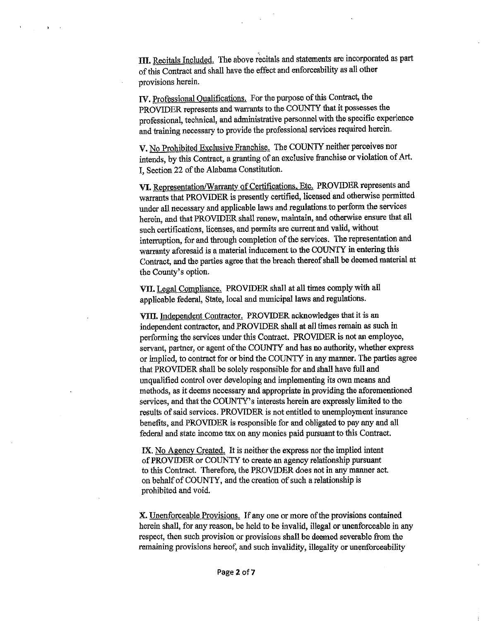III. Recitals Included. The above recitals and statements are incorporated as part of this Contract and shall have the effect and enforceability as all other provisions herein.

 $\sim 10^{-10}$   $\rm s$ 

IV. Professional Qualifications. For the purpose of this Contract, the PROVJDER represents and warrants to the COUNTY that it possesses the professional, technical, and administrative personnel with the specific experience and training necessary to provide the professional services required herein.

V. No Prohibited Exclusive Franchise. The COUNTY neither perceives nor intends, by this Contract, a granting of an exclusive franchise or violation of Art. I, Section 22 of the Alabama Constitution.

VI. Representation/Warranty of Certifications, Etc. PROVIDER represents and warrants that PROVIDER is presently certified, licensed and otherwise permitted under all necessary and applicable laws and regulations.to perfonn the services herein, and that PROVJDER shall renew, maintain, and otherwise ensure that all such certifications, licenses, and pennits are current and valid, without interruption, for and through completion of the services. The representation and warranty aforesaid is a material inducement to the COUNTY in entering this Contract, and the parties agree that the breach thereof shall be deemed material at the County's option.

VII. Legal Compliance. PROVIDER shall at all times comply with all applicable federal, State, local and municipal laws and regulations.

VIIl. Independent Contractor. PROVIDER acknowledges that it is an independent contractor, and PROVIDER shall at all times remain as such in perfonning the services under this Contract. PROVIDER is not an employee, servant, partner, or agent of the COUNTY and has no authority, whether express or implied, to contract for or bind the COUNTY in any manner. The parties agree that PROVIDER shall be solely responsible for and shall have full and unqualified control over developing and implementing its own means and methods, as it deems necessary and appropriate in providing the aforementioned services, and that the COUNTY's interests herein are expressly limited to the results of said services. PROVIDER is not entitled to unemployment insurance benefits, and PROVIDER is responsible for and obligated to pay any and all federal and state income tax on any monies paid pursuant to this Contract.

IX. No Agency Created. It is neither the express nor the implied intent of PROVIDER or COUNTY to create an agency relationship pursuant to this Contract. Therefore, the PROVIDER does not in any manner act. on behalf of COUNTY, and the creation of such a relationship is prohibited and void.

X. Unenforceable Provisions. If any one or more of the provisions contained herein shall, for any reason, be held to be invalid, illegal or unenforceable in any respect, then such provision or provisions shall be deemed severable from the remaining provisions hereof, and snch invalidity, illegality or unenforceability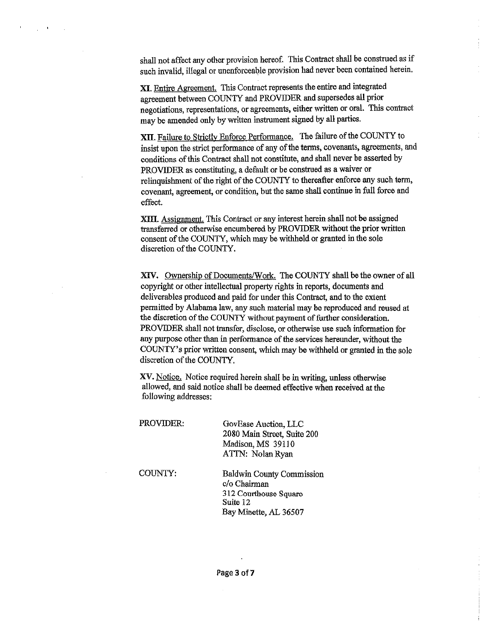shall not affect any other provision hereof. This Contract shall be construed as if such invalid, illegal or unenforceable provision had never been contained herein.

 $\mathcal{L}^{\mathcal{L}}(\mathcal{L}^{\mathcal{L}})$  . The contribution

XI. Entire Agreement. This Contract represents the entire and integrated agreement between COUNTY and PROVIDER and supersedes all prior negotiations, representations, or agreements, either written or oral. This contract may be amended only by written instrument signed by all parties.

XII. Failure to Strictly Enforce Performance. The failure of the COUNTY to insist upon the strict performance of any of the terms, covenants, agreements, and conditions of this Contract shall not constitute, and shall never be asserted by PROVIDER as constituting, a default or be construed as a waiver or relinquishment of the right of the COUNTY to thereafter enforce any such term, covenant, agreement, or condition, but the same shall continue in full force and effect.

XIII. Assignment. This Contract or any interest herein shall not be assigned transferred or otherwise encumbered by PROVIDER without the prior written consent of the COUNTY, which may be withheld or granted in the sole discretion of the COUNTY.

XIV. Ownership of Documents/Work. The COUNTY shall be the owner of all copyright or other intellectual property rights in reports, documents and deliverables produced and paid for under this Contract, and to the extent permitted by Alabama law, any such material may be reproduced and reused at the discretion of the COUNTY without payment of further consideration. PROVIDER shall not transfer, disclose, or otherwise use such information for any purpose other than in performance of the services hereunder, without the COUNTY's prior written consent, which may be withheld or granted in the sole discretion of the COUNTY.

XV. Notice. Notice required herein shall be in writing, unless otherwise allowed, and said notice shall be deemed effective when received at the following addresses:

| PROVIDER: | GovEase Auction, LLC<br>2080 Main Street, Suite 200<br>Madison, MS 39110<br>ATTN: Nolan Ryan                   |
|-----------|----------------------------------------------------------------------------------------------------------------|
| COUNTY:   | <b>Baldwin County Commission</b><br>c/o Chairman<br>312 Courthouse Square<br>Suite 12<br>Bay Minette, AL 36507 |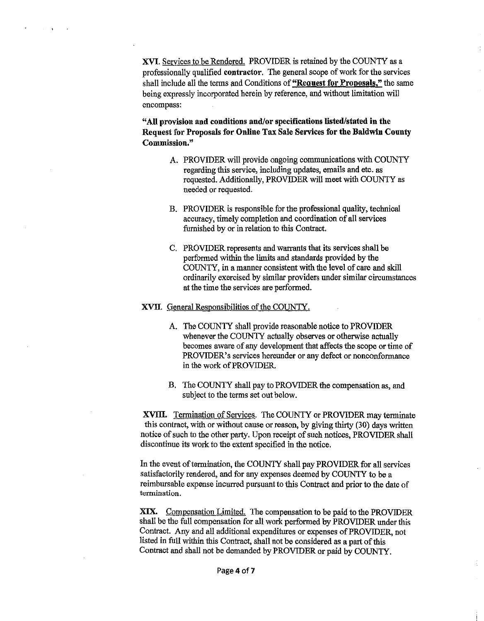XVI. Services to be Rendered. PROVIDER is retained by the COUNTY as a professionally qualified contractor. The general scope of work for the services shall include all the terms and Conditions of "Request for Proposals," the same being expressly incorporated herein by reference, and without limitation will encompass:

"All provision and conditions and/or specifications listed/stated in the Request for Proposals for Online Tax Sale Services for the Baldwin County Commission."

- A. PROVIDER will provide ongoing communications with COUNTY regarding this service, including updates, emails and etc. as requested. Additionally, PROVIDER will meet with COUNTY as needed or requested.
- B. PROVIDER is responsible for the professional quality, technical accuracy, timely completion and coordination of all services furnished by or in relation to this Contract.
- C. PROVIDER represents and warrants that its services shall be performed within the limits and standards provided by the COUNTY, in a manner consistent with the level of care and skill ordinarily exercised by similar providers under similar circumstances at the time the services are performed.

#### XVIl. General Responsibilities of the COUNTY.

- A. The COUNTY shall provide reasonable notice to PROVIDER whenever the COUNTY actually observes or otherwise actually becomes aware of any development that affects the scope or time of PROVIDER's services hereunder or any defect or nonconformance in the work of PROVIDER.
- B. The COUNTY shall pay to PROVIDER the compensation as, and subject to the terms set out below.

XVIII. Termination of Services. The COUNTY or PROVIDER may terminate this contract, with or without cause or reason, by giving thirty (30) days written notice of such to the other party. Upon receipt of such notices, PROVIDER shall discontinue its work to the extent specified in the notice.

In the event of termination, the COUNTY shall pay PROVIDER for all services satisfactorily rendered, and for any expenses deemed by COUNTY to be a reimbursable expense incurred pursuant to this Contract and prior to the date of **termination.** 

XIX. Compensation Limited. The compensation to be paid to the PROVIDER shall be the full compensation for all work performed by PROVIDER under this Contract. Any and all additional expenditures or expenses of PROVIDER, not listed in full within this Contract, shall not be considered as a part of this Contract and shall not be demanded by PROVIDER or paid by COUNTY.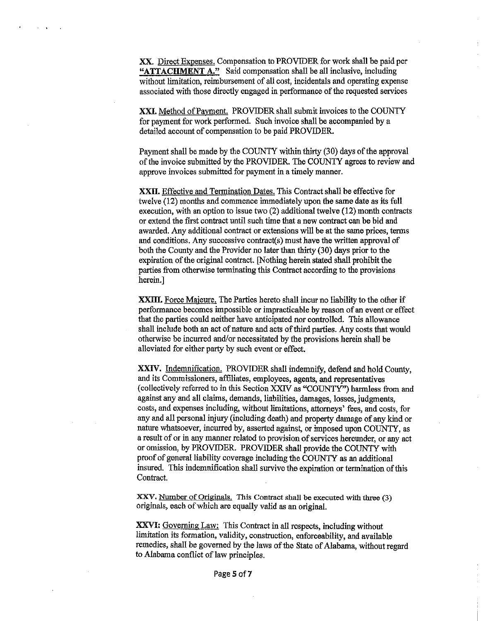XX. Direct Expenses. Compensation to PROVIDER for work shall be paid per "ATTACHMENT A." Said compensation shall be all inclusive, including without limitation, reimbursement of all cost, incidentals and operating expense associated with those directly engaged in performance of the requested services

 $\sim$   $\sim$   $\sim$ 

XXI. Method of Payment. PROVIDER shall submit invoices to the COUNTY for payment for work performed. Such invoice shall be accompanied by a detailed account of compensation to be paid PROVIDER.

Payment shall be made by the COUNTY within thirty (30) days of the approval of the invoice submitted by the PROVIDER. The COUNTY agrees to review and approve invoices submitted for payment in a timely manner.

XXIT. Effective and Termination Dates. This Contract shall be effective for twelve (12) months and commence immediately upon the same date as its full execution, with an option to issue two (2) additional twelve (12) month contracts or extend the first contract until such time that a new contract can be bid and awarded. Any additional contract or extensions will be at the same prices, terms and conditions. Any successive contract(s) must have the written approval of both the County and the Provider no later than thirty (30) days prior to the expiration of the original contract. [Nothing herein stated shall prohibit the parties from otherwise terminating this Contract according to the provisions herein.]

XXIII. Force Majeure. The Parties hereto shall incur no liability to the other if performance becomes impossible or impracticable by reason of an event or effect that the parties could neither have anticipated nor controlled. This allowance shall include both an act of nature and acts of third parties. Any costs that would otherwise be incurred and/or necessitated by the provisions herein shall be alleviated for either party by such event or effect.

XXIV. Indemnification. PROVIDER shall indemnify, defend and hold County, and its Commissioners, affiliates, employees, agents, and representatives (collectively referred to in this Section XXlV as "COUNTY") harmless from and against any and all claims, demands, liabilities, damages, losses, judgments, costs, and expenses including, without limitations, attorneys' fees, and costs, for any and all personal injury (including death) and property damage of any kind or nature whatsoever, incurred by, asserted against, or imposed upon COUNTY, as a result of or in any manner related to provision of services hereunder, or any act or omission, by PROVIDER. PROVIDER shall provide the COUNTY with proof of general liability coverage including the COUNTY as an additional insured. This indemnification shall survive the expiration or termination of this Contract.

XXV. Number of Originals. This Contract shall be executed with three (3) originals, each of which are equally valid as an original.

XXVI: Governing Law: This Contract in all respects, including without limitation its formation, validity, construction, enforceability, and available remedies, shall be governed by the laws of the State of Alabama, without regard to Alabama conflict of law principles.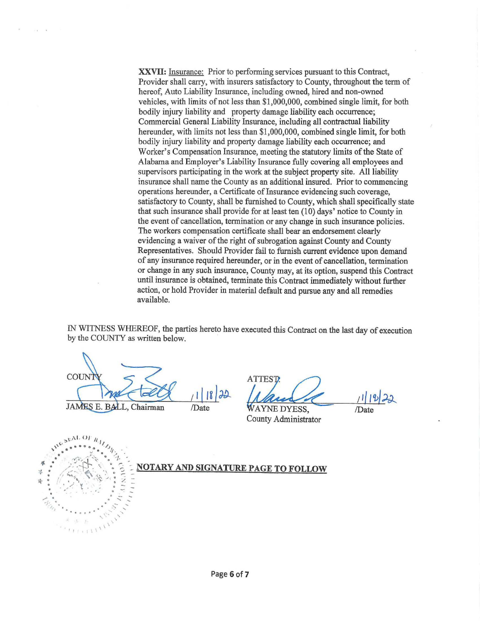**XXVIl:** Insurance: Prior to performing services pursuant to this Contract, Provider shall carry, with insurers satisfactory to County, throughout the term of hereof, Auto Liability Insurance, including owned, hired and non-owned vehicles, with limits of not less than \$1,000,000, combined single limit, for both bodily injury liability and property damage liability each occurrence; Commercial General Liability Insurance, including all contractual liability hereunder, with limits not less than \$1,000,000, combined single limit, for both bodily injury liability and property damage liability each occurrence; and Worker's Compensation Insurance, meeting the statutory limits of the State of Alabama and Employer's Liability Insurance fully covering all employees and supervisors participating in the work at the subject property site. All liability insurance shall name the County as an additional insured. Prior to commencing operations hereunder, a Certificate of Insurance evidencing such coverage, satisfactory to County, shall be furnished to County, which shall specifically state that such insurance shall provide for at least ten (10) days' notice to County in the event of cancellation, termination or any change in such insurance policies. The workers compensation certificate shall bear an endorsement clearly evidencing a waiver of the right of subrogation against County and County Representatives. Should Provider fail to furnish current evidence upon demand of any insurance required hereunder, or in the event of cancellation, termination or change in any such insurance, County may, at its option, suspend this Contract until insurance is obtained, terminate this Contract immediately without further action, or hold Provider in material default and pursue any and all remedies available.

IN WITNESS WHEREOF, the parties hereto have executed this Contract on the last day of execution by the COUNTY as written below.

COUNT JAMES E. BALL, Chairman /Date

ATTEST cuted this Contract on the last day of execution<br>TTEST:<br> $\sqrt{\frac{1}{2}}$ 

County Administrator

*1* 1 1 2 2 2 /Date

 $\mu^{c}$ <sup>3EAL OF  $h_1$ </sup>. · · *.,1 •. '1:,,.*  • *....* ... • 1. **All one of the SET of SET OF STARY AND SIGNATURE PAGE TO FOLLOW** • 15, 15, 19, 19 = ,. : ' ',,,/ ,, . . . . **6 z** - • .. **l • •e** *.::; ::*  .,,.. . . - - . ..... - . - .... ' .... . . . . . . \ .·· ,· ... ' \* \* \* \* \* \* \* \* \* \*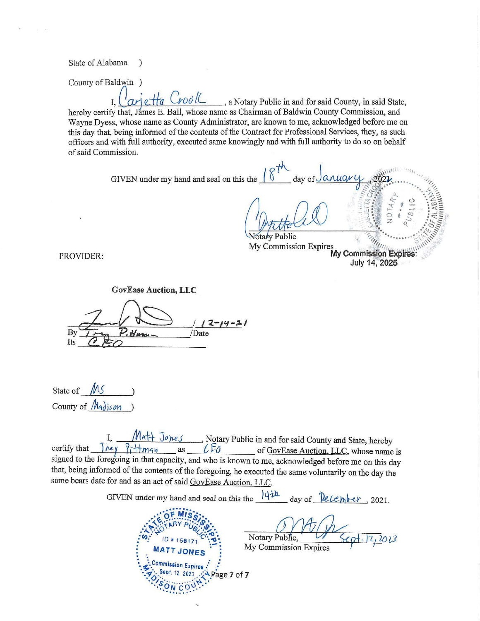State of Alabama  $\lambda$ 

County of Baldwin )

arietta Crool C., a Notary Public in and for said County, in said State,  $\overline{L}$ hereby certify that, James E. Ball, whose name as Chairman of Baldwin County Commission, and Wayne Dyess, whose name as County Administrator, are known to me, acknowledged before me on this day that, being informed of the contents of the Contract for Professional Services, they, as such officers and with full authority, executed same knowingly and with full authority to do so on behalf of said Commission.

> GIVEN under my hand and seal on this the  $\sqrt{\frac{8}{1}}$ anuare day of

**Votary Public** My Commission Expires<br>My Commission Expires:<br>My Commission Expires: July 14, 2025

PROVIDER:

**GovEase Auction, LLC** B١ /Date Its

State of  $\mathcal{M}$ County of *Madison* 

 $M$ A $+$  Jones Richary Public in and for said County and State, hereby<br>  $?$ i Hmqn as  $C$ Eq of GovEase Auction, LLC, whose name is certify that  $|_{\text{rev}}$ signed to the foregoing in that capacity, and who is known to me, acknowledged before me on this day that, being informed of the contents of the foregoing, he executed the same voluntarily on the day the same bears date for and as an act of said GovEase Auction, LLC.

GIVEN under my hand and seal on this the  $\frac{|\psi| + h}{\psi}$  day of  $\frac{\partial \psi}{\partial x}$ , 2021.



Notary Public, 2,2023

My Commission Expires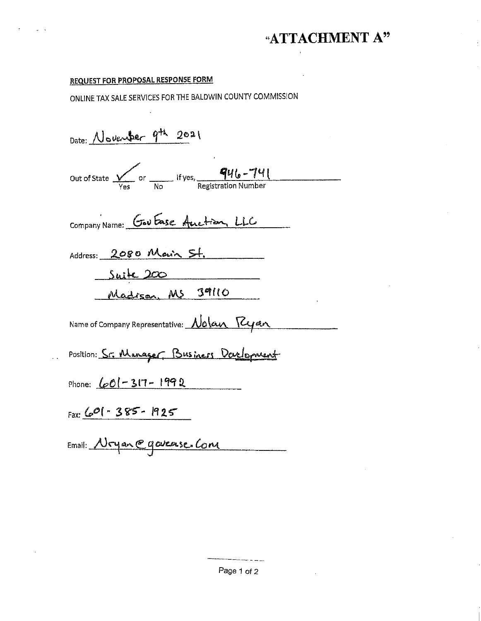# "ATTACHMENT A"

### REQUEST FOR PROPOSAL RESPONSE FORM

ONLINE TAX SALE SERVICES FOR THE BALDWIN COUNTY COMMISSION

Date: November 9th 2021

Out of State  $\frac{q_{u_0} - \gamma_{u_1}}{\gamma_{\text{eq}}}$  or  $\frac{q_{u_0} - \gamma_{u_1}}{\gamma_{\text{reg}}$  Registration Number

Company Name: Gov Ease Auction, LLC

Address: 2080 Main St.

Suite 200

Madison MS 39110

Name of Company Representative: <u>Nolan Ryan</u>

Position: <u>Sr. Manager</u> Business Darlowent

Phone:  $601 - 317 - 1992$ 

Fax:  $\frac{1}{2}$  ( $\frac{1}{2}$   $\frac{1}{2}$   $\frac{1}{2}$   $\frac{1}{2}$   $\frac{1}{2}$   $\frac{1}{2}$   $\frac{1}{2}$   $\frac{1}{2}$   $\frac{1}{2}$   $\frac{1}{2}$   $\frac{1}{2}$   $\frac{1}{2}$   $\frac{1}{2}$   $\frac{1}{2}$   $\frac{1}{2}$   $\frac{1}{2}$   $\frac{1}{2}$   $\frac{1}{2}$   $\frac{1}{2}$   $\frac{1}{2}$   $\frac{1$ 

Email: <u>Moyan @goverse Com</u>